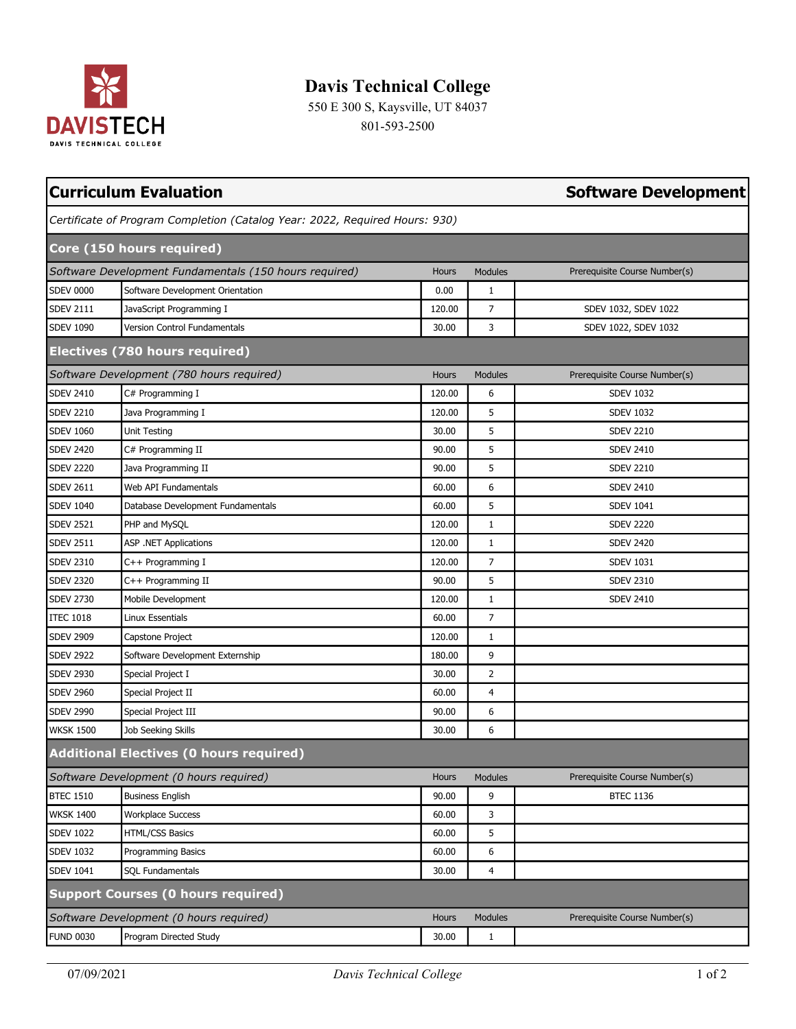

## **Davis Technical College**

550 E 300 S, Kaysville, UT 84037 801-593-2500

|                  | <b>Curriculum Evaluation</b>                                                | <b>Software Development</b> |                |                               |
|------------------|-----------------------------------------------------------------------------|-----------------------------|----------------|-------------------------------|
|                  | Certificate of Program Completion (Catalog Year: 2022, Required Hours: 930) |                             |                |                               |
|                  | Core (150 hours required)                                                   |                             |                |                               |
|                  | Software Development Fundamentals (150 hours required)                      | Hours                       | <b>Modules</b> | Prerequisite Course Number(s) |
| <b>SDEV 0000</b> | Software Development Orientation                                            | 0.00                        | $\mathbf{1}$   |                               |
| <b>SDEV 2111</b> | JavaScript Programming I                                                    | 120.00                      | $\overline{7}$ | SDEV 1032, SDEV 1022          |
| <b>SDEV 1090</b> | Version Control Fundamentals                                                | 30.00                       | 3              | SDEV 1022, SDEV 1032          |
|                  | Electives (780 hours required)                                              |                             |                |                               |
|                  | Software Development (780 hours required)                                   | Hours                       | <b>Modules</b> | Prerequisite Course Number(s) |
| <b>SDEV 2410</b> | C# Programming I                                                            | 120.00                      | 6              | <b>SDEV 1032</b>              |
| <b>SDEV 2210</b> | Java Programming I                                                          | 120.00                      | 5              | <b>SDEV 1032</b>              |
| <b>SDEV 1060</b> | Unit Testing                                                                | 30.00                       | 5              | <b>SDEV 2210</b>              |
| <b>SDEV 2420</b> | C# Programming II                                                           | 90.00                       | 5              | <b>SDEV 2410</b>              |
| <b>SDEV 2220</b> | Java Programming II                                                         | 90.00                       | 5              | <b>SDEV 2210</b>              |
| <b>SDEV 2611</b> | Web API Fundamentals                                                        | 60.00                       | 6              | <b>SDEV 2410</b>              |
| <b>SDEV 1040</b> | Database Development Fundamentals                                           | 60.00                       | 5              | <b>SDEV 1041</b>              |
| <b>SDEV 2521</b> | PHP and MySQL                                                               | 120.00                      | $\mathbf{1}$   | <b>SDEV 2220</b>              |
| <b>SDEV 2511</b> | <b>ASP .NET Applications</b>                                                | 120.00                      | $\mathbf{1}$   | <b>SDEV 2420</b>              |
| <b>SDEV 2310</b> | C++ Programming I                                                           | 120.00                      | $\overline{7}$ | <b>SDEV 1031</b>              |
| <b>SDEV 2320</b> | C++ Programming II                                                          | 90.00                       | 5              | <b>SDEV 2310</b>              |
| <b>SDEV 2730</b> | Mobile Development                                                          | 120.00                      | 1              | <b>SDEV 2410</b>              |
| <b>ITEC 1018</b> | Linux Essentials                                                            | 60.00                       | 7              |                               |
| <b>SDEV 2909</b> | Capstone Project                                                            | 120.00                      | 1              |                               |
| <b>SDEV 2922</b> | Software Development Externship                                             | 180.00                      | 9              |                               |
| <b>SDEV 2930</b> | Special Project I                                                           | 30.00                       | $\overline{2}$ |                               |
| <b>SDEV 2960</b> | Special Project II                                                          | 60.00                       | $\overline{4}$ |                               |
| <b>SDEV 2990</b> | Special Project III                                                         | 90.00                       | 6              |                               |
| <b>WKSK 1500</b> | Job Seeking Skills                                                          | 30.00                       | 6              |                               |
|                  | <b>Additional Electives (0 hours required)</b>                              |                             |                |                               |
|                  | Software Development (0 hours required)                                     | Hours                       | <b>Modules</b> | Prerequisite Course Number(s) |
| <b>BTEC 1510</b> | <b>Business English</b>                                                     | 90.00                       | 9              | <b>BTEC 1136</b>              |
| <b>WKSK 1400</b> | <b>Workplace Success</b>                                                    | 60.00                       | 3              |                               |
| <b>SDEV 1022</b> | <b>HTML/CSS Basics</b>                                                      | 60.00                       | 5              |                               |
| <b>SDEV 1032</b> | Programming Basics                                                          | 60.00                       | 6              |                               |
| <b>SDEV 1041</b> | <b>SQL Fundamentals</b>                                                     | 30.00                       | 4              |                               |
|                  | <b>Support Courses (0 hours required)</b>                                   |                             |                |                               |
|                  | Software Development (0 hours required)                                     | Hours                       | Modules        | Prerequisite Course Number(s) |
| <b>FUND 0030</b> | Program Directed Study                                                      | 30.00                       | $\mathbf{1}$   |                               |